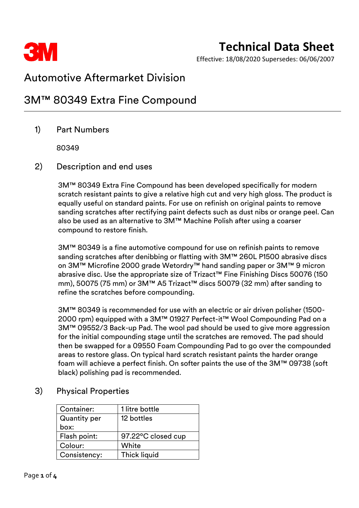

# **Technical Data Sheet**

Effective: 18/08/2020 Supersedes: 06/06/2007

## Automotive Aftermarket Division

## 3M™ 80349 Extra Fine Compound

### 1) Part Numbers

80349

### 2) Description and end uses

3M™ 80349 Extra Fine Compound has been developed specifically for modern scratch resistant paints to give a relative high cut and very high gloss. The product is equally useful on standard paints. For use on refinish on original paints to remove sanding scratches after rectifying paint defects such as dust nibs or orange peel. Can also be used as an alternative to 3M™ Machine Polish after using a coarser compound to restore finish.

3M™ 80349 is a fine automotive compound for use on refinish paints to remove sanding scratches after denibbing or flatting with 3M™ 260L P1500 abrasive discs on 3M™ Microfine 2000 grade Wetordry™ hand sanding paper or 3M™ 9 micron abrasive disc. Use the appropriate size of Trizact™ Fine Finishing Discs 50076 (150 mm), 50075 (75 mm) or 3M™ A5 Trizact™ discs 50079 (32 mm) after sanding to refine the scratches before compounding.

3M™ 80349 is recommended for use with an electric or air driven polisher (1500- 2000 rpm) equipped with a 3M™ 01927 Perfect-it™ Wool Compounding Pad on a 3M™ 09552/3 Back-up Pad. The wool pad should be used to give more aggression for the initial compounding stage until the scratches are removed. The pad should then be swapped for a 09550 Foam Compounding Pad to go over the compounded areas to restore glass. On typical hard scratch resistant paints the harder orange foam will achieve a perfect finish. On softer paints the use of the 3M™ 09738 (soft black) polishing pad is recommended.

### 3) Physical Properties

| Container:          | 1 litre bottle      |  |
|---------------------|---------------------|--|
| <b>Quantity per</b> | 12 bottles          |  |
| box:                |                     |  |
| Flash point:        | 97.22°C closed cup  |  |
| Colour:             | White               |  |
| Consistency:        | <b>Thick liquid</b> |  |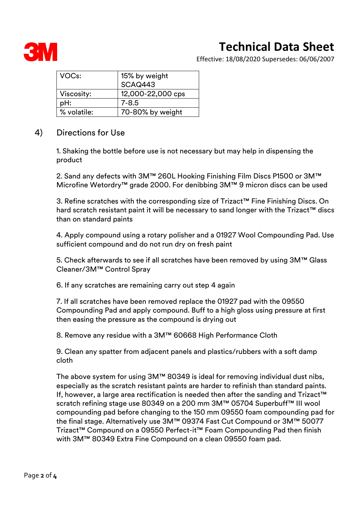

# **Technical Data Sheet**

Effective: 18/08/2020 Supersedes: 06/06/2007

| VOC <sub>s</sub> : | 15% by weight     |  |
|--------------------|-------------------|--|
|                    | SCAQ443           |  |
| Viscosity:         | 12,000-22,000 cps |  |
| pH:                | $7 - 8.5$         |  |
| % volatile:        | 70-80% by weight  |  |

#### 4) Directions for Use

1. Shaking the bottle before use is not necessary but may help in dispensing the product

2. Sand any defects with 3M™ 260L Hooking Finishing Film Discs P1500 or 3M™ Microfine Wetordry™ grade 2000. For denibbing 3M™ 9 micron discs can be used

3. Refine scratches with the corresponding size of Trizact™ Fine Finishing Discs. On hard scratch resistant paint it will be necessary to sand longer with the Trizact™ discs than on standard paints

4. Apply compound using a rotary polisher and a 01927 Wool Compounding Pad. Use sufficient compound and do not run dry on fresh paint

5. Check afterwards to see if all scratches have been removed by using 3M™ Glass Cleaner/3M™ Control Spray

6. If any scratches are remaining carry out step 4 again

7. If all scratches have been removed replace the 01927 pad with the 09550 Compounding Pad and apply compound. Buff to a high gloss using pressure at first then easing the pressure as the compound is drying out

8. Remove any residue with a 3M™ 60668 High Performance Cloth

9. Clean any spatter from adjacent panels and plastics/rubbers with a soft damp cloth

The above system for using 3M™ 80349 is ideal for removing individual dust nibs, especially as the scratch resistant paints are harder to refinish than standard paints. If, however, a large area rectification is needed then after the sanding and Trizact™ scratch refining stage use 80349 on a 200 mm 3M™ 05704 Superbuff™ III wool compounding pad before changing to the 150 mm 09550 foam compounding pad for the final stage. Alternatively use 3M™ 09374 Fast Cut Compound or 3M™ 50077 Trizact™ Compound on a 09550 Perfect-it™ Foam Compounding Pad then finish with 3M™ 80349 Extra Fine Compound on a clean 09550 foam pad.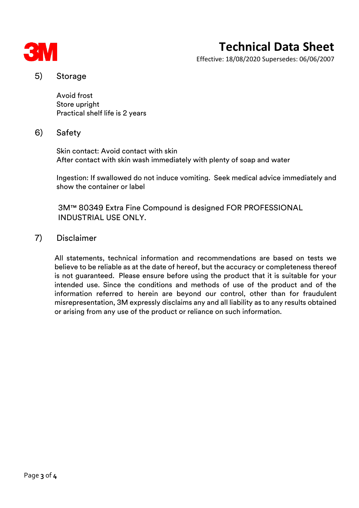

# **Technical Data Sheet**

Effective: 18/08/2020 Supersedes: 06/06/2007

5) Storage

Avoid frost Store upright Practical shelf life is 2 years

#### 6) Safety

Skin contact: Avoid contact with skin After contact with skin wash immediately with plenty of soap and water

Ingestion: If swallowed do not induce vomiting. Seek medical advice immediately and show the container or label

3M™ 80349 Extra Fine Compound is designed FOR PROFESSIONAL INDUSTRIAL USE ONLY.

#### 7) Disclaimer

All statements, technical information and recommendations are based on tests we believe to be reliable as at the date of hereof, but the accuracy or completeness thereof is not guaranteed. Please ensure before using the product that it is suitable for your intended use. Since the conditions and methods of use of the product and of the information referred to herein are beyond our control, other than for fraudulent misrepresentation, 3M expressly disclaims any and all liability as to any results obtained or arising from any use of the product or reliance on such information.